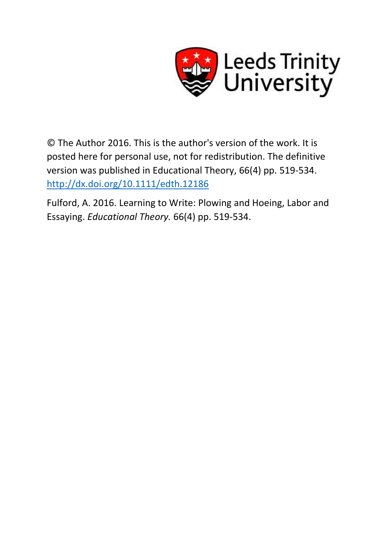

© The Author 2016. This is the author's version of the work. It is posted here for personal use, not for redistribution. The definitive version was published in Educational Theory, 66(4) pp. 519-534. <http://dx.doi.org/10.1111/edth.12186>

Fulford, A. 2016. Learning to Write: Plowing and Hoeing, Labor and Essaying. *Educational Theory.* 66(4) pp. 519-534.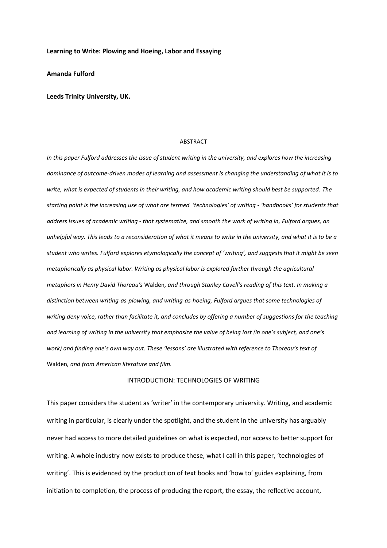### **Learning to Write: Plowing and Hoeing, Labor and Essaying**

**Amanda Fulford**

### **Leeds Trinity University, UK.**

### ABSTRACT

*In this paper Fulford addresses the issue of student writing in the university, and explores how the increasing dominance of outcome-driven modes of learning and assessment is changing the understanding of what it is to write, what is expected of students in their writing, and how academic writing should best be supported. The starting point is the increasing use of what are termed 'technologies' of writing - 'handbooks' for students that address issues of academic writing - that systematize, and smooth the work of writing in, Fulford argues, an unhelpful way. This leads to a reconsideration of what it means to write in the university, and what it is to be a student who writes. Fulford explores etymologically the concept of 'writing', and suggests that it might be seen metaphorically as physical labor. Writing as physical labor is explored further through the agricultural metaphors in Henry David Thoreau's* Walden*, and through Stanley Cavell's reading of this text. In making a distinction between writing-as-plowing, and writing-as-hoeing, Fulford argues that some technologies of writing deny voice, rather than facilitate it, and concludes by offering a number of suggestions for the teaching and learning of writing in the university that emphasize the value of being lost (in one's subject, and one's work) and finding one's own way out. These 'lessons' are illustrated with reference to Thoreau's text of*  Walden*, and from American literature and film.*

## INTRODUCTION: TECHNOLOGIES OF WRITING

This paper considers the student as 'writer' in the contemporary university. Writing, and academic writing in particular, is clearly under the spotlight, and the student in the university has arguably never had access to more detailed guidelines on what is expected, nor access to better support for writing. A whole industry now exists to produce these, what I call in this paper, 'technologies of writing'. This is evidenced by the production of text books and 'how to' guides explaining, from initiation to completion, the process of producing the report, the essay, the reflective account,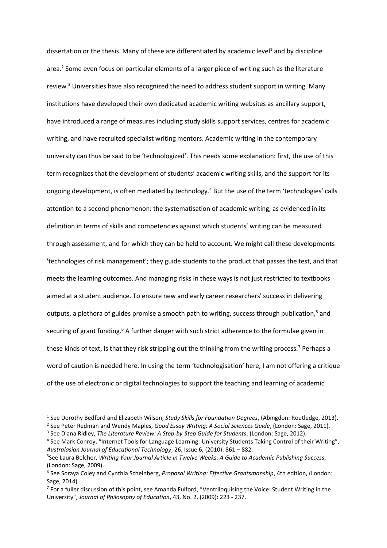dissertation or the thesis. Many of these are differentiated by academic level<sup>1</sup> and by discipline area.<sup>2</sup> Some even focus on particular elements of a larger piece of writing such as the literature review.<sup>3</sup> Universities have also recognized the need to address student support in writing. Many institutions have developed their own dedicated academic writing websites as ancillary support, have introduced a range of measures including study skills support services, centres for academic writing, and have recruited specialist writing mentors. Academic writing in the contemporary university can thus be said to be 'technologized'. This needs some explanation: first, the use of this term recognizes that the development of students' academic writing skills, and the support for its ongoing development, is often mediated by technology.<sup>4</sup> But the use of the term 'technologies' calls attention to a second phenomenon: the systematisation of academic writing, as evidenced in its definition in terms of skills and competencies against which students' writing can be measured through assessment, and for which they can be held to account. We might call these developments 'technologies of risk management'; they guide students to the product that passes the test, and that meets the learning outcomes. And managing risks in these ways is not just restricted to textbooks aimed at a student audience. To ensure new and early career researchers' success in delivering outputs, a plethora of guides promise a smooth path to writing, success through publication,<sup>5</sup> and securing of grant funding.<sup>6</sup> A further danger with such strict adherence to the formulae given in these kinds of text, is that they risk stripping out the thinking from the writing process.<sup>7</sup> Perhaps a word of caution is needed here. In using the term 'technologisation' here, I am not offering a critique of the use of electronic or digital technologies to support the teaching and learning of academic

<sup>1</sup> See Dorothy Bedford and Elizabeth Wilson, *Study Skills for Foundation Degrees*, (Abingdon: Routledge, 2013).

<sup>2</sup> See Peter Redman and Wendy Maples, *Good Essay Writing: A Social Sciences Guide*, (London: Sage, 2011). 3 See Diana Ridley, *The Literature Review: A Step-by-Step Guide for Students*, (London: Sage, 2012).

<sup>&</sup>lt;sup>4</sup> See Mark Conroy, "Internet Tools for Language Learning: University Students Taking Control of their Writing", *Australasian Journal of Educational Technology*, 26, Issue 6, (2010): 861 – 882.

<sup>5</sup> See Laura Belcher, *Writing Your Journal Article in Twelve Weeks: A Guide to Academic Publishing Success*, (London: Sage, 2009).

<sup>6</sup> See Soraya Coley and Cynthia Scheinberg, *Proposal Writing: Effective Grantsmanship*, 4th edition, (London: Sage, 2014).

<sup>&</sup>lt;sup>7</sup> For a fuller discussion of this point, see Amanda Fulford, "Ventriloquising the Voice: Student Writing in the University", *Journal of Philosophy of Education*, 43, No. 2, (2009): 223 - 237.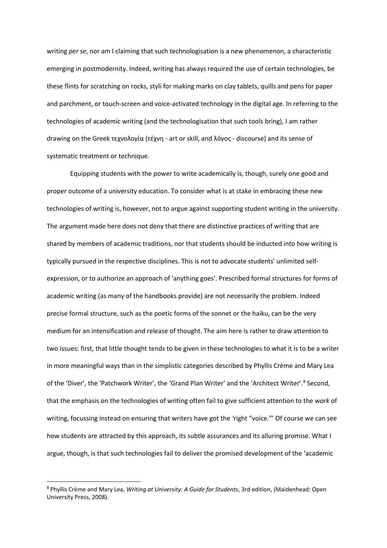writing *per se*, nor am I claiming that such technologisation is a new phenomenon, a characteristic emerging in postmodernity. Indeed, writing has always required the use of certain technologies, be these flints for scratching on rocks, styli for making marks on clay tablets, quills and pens for paper and parchment, or touch-screen and voice-activated technology in the digital age. In referring to the technologies of academic writing (and the technologisation that such tools bring), I am rather drawing on the Greek τεχνολογία (τέχνη - art or skill, and λόγος - discourse) and its sense of systematic treatment or technique.

Equipping students with the power to write academically is, though, surely one good and proper outcome of a university education. To consider what is at stake in embracing these new technologies of writing is, however, not to argue against supporting student writing in the university. The argument made here does not deny that there are distinctive practices of writing that are shared by members of academic traditions, nor that students should be inducted into how writing is typically pursued in the respective disciplines. This is not to advocate students' unlimited selfexpression, or to authorize an approach of 'anything goes'. Prescribed formal structures for forms of academic writing (as many of the handbooks provide) are not necessarily the problem. Indeed precise formal structure, such as the poetic forms of the sonnet or the haiku, can be the very medium for an intensification and release of thought. The aim here is rather to draw attention to two issues: first, that little thought tends to be given in these technologies to what it is to be a writer in more meaningful ways than in the simplistic categories described by Phyllis Crème and Mary Lea of the 'Diver', the 'Patchwork Writer', the 'Grand Plan Writer' and the 'Architect Writer'.<sup>8</sup> Second, that the emphasis on the technologies of writing often fail to give sufficient attention to the *work* of writing, focussing instead on ensuring that writers have got the *'*right "voice."' Of course we can see how students are attracted by this approach, its subtle assurances and its alluring promise. What I argue, though, is that such technologies fail to deliver the promised development of the 'academic

<sup>8</sup> Phyllis Crème and Mary Lea, *Writing at University: A Guide for Students*, 3rd edition, (Maidenhead: Open University Press, 2008).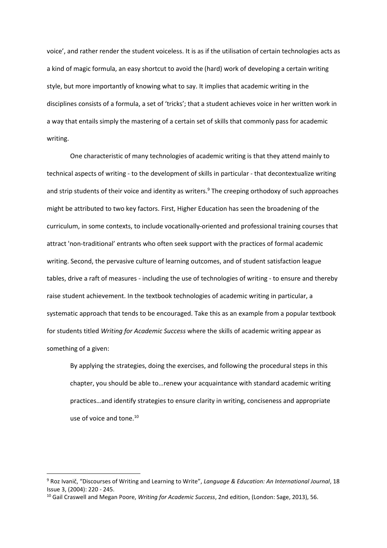voice', and rather render the student voiceless. It is as if the utilisation of certain technologies acts as a kind of magic formula, an easy shortcut to avoid the (hard) work of developing a certain writing style, but more importantly of knowing what to say. It implies that academic writing in the disciplines consists of a formula, a set of 'tricks'; that a student achieves voice in her written work in a way that entails simply the mastering of a certain set of skills that commonly pass for academic writing.

One characteristic of many technologies of academic writing is that they attend mainly to technical aspects of writing - to the development of skills in particular - that decontextualize writing and strip students of their voice and identity as writers.<sup>9</sup> The creeping orthodoxy of such approaches might be attributed to two key factors. First, Higher Education has seen the broadening of the curriculum, in some contexts, to include vocationally-oriented and professional training courses that attract 'non-traditional' entrants who often seek support with the practices of formal academic writing. Second, the pervasive culture of learning outcomes, and of student satisfaction league tables, drive a raft of measures - including the use of technologies of writing - to ensure and thereby raise student achievement. In the textbook technologies of academic writing in particular, a systematic approach that tends to be encouraged. Take this as an example from a popular textbook for students titled *Writing for Academic Success* where the skills of academic writing appear as something of a given:

By applying the strategies, doing the exercises, and following the procedural steps in this chapter, you should be able to…renew your acquaintance with standard academic writing practices…and identify strategies to ensure clarity in writing, conciseness and appropriate use of voice and tone.<sup>10</sup>

<sup>9</sup> Roz Ivanič, "Discourses of Writing and Learning to Write", *Language & Education: An International Journal*, 18 Issue 3, (2004): 220 - 245.

<sup>10</sup> Gail Craswell and Megan Poore, *Writing for Academic Success*, 2nd edition, (London: Sage, 2013), 56.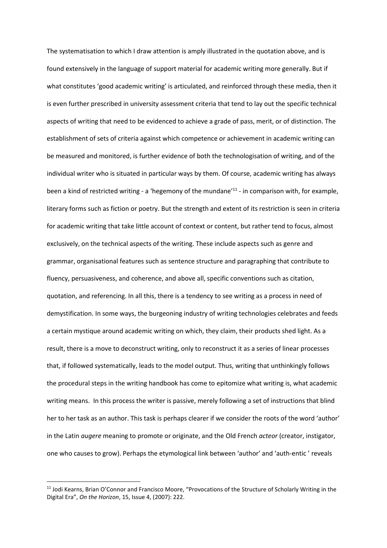The systematisation to which I draw attention is amply illustrated in the quotation above, and is found extensively in the language of support material for academic writing more generally. But if what constitutes 'good academic writing' is articulated, and reinforced through these media, then it is even further prescribed in university assessment criteria that tend to lay out the specific technical aspects of writing that need to be evidenced to achieve a grade of pass, merit, or of distinction. The establishment of sets of criteria against which competence or achievement in academic writing can be measured and monitored, is further evidence of both the technologisation of writing, and of the individual writer who is situated in particular ways by them. Of course, academic writing has always been a kind of restricted writing - a 'hegemony of the mundane'<sup>11</sup> - in comparison with, for example, literary forms such as fiction or poetry. But the strength and extent of its restriction is seen in criteria for academic writing that take little account of context or content, but rather tend to focus, almost exclusively, on the technical aspects of the writing. These include aspects such as genre and grammar, organisational features such as sentence structure and paragraphing that contribute to fluency, persuasiveness, and coherence, and above all, specific conventions such as citation, quotation, and referencing. In all this, there is a tendency to see writing as a process in need of demystification. In some ways, the burgeoning industry of writing technologies celebrates and feeds a certain mystique around academic writing on which, they claim, their products shed light. As a result, there is a move to deconstruct writing, only to reconstruct it as a series of linear processes that, if followed systematically, leads to the model output. Thus, writing that unthinkingly follows the procedural steps in the writing handbook has come to epitomize what writing is, what academic writing means. In this process the writer is passive, merely following a set of instructions that blind her to her task as an author. This task is perhaps clearer if we consider the roots of the word 'author' in the Latin *augere* meaning to promote or originate, and the Old French *acteor* (creator, instigator, one who causes to grow). Perhaps the etymological link between 'author' and 'auth-entic ' reveals

<sup>&</sup>lt;sup>11</sup> Jodi Kearns, Brian O'Connor and Francisco Moore, "Provocations of the Structure of Scholarly Writing in the Digital Era", *On the Horizon*, 15, Issue 4, (2007): 222.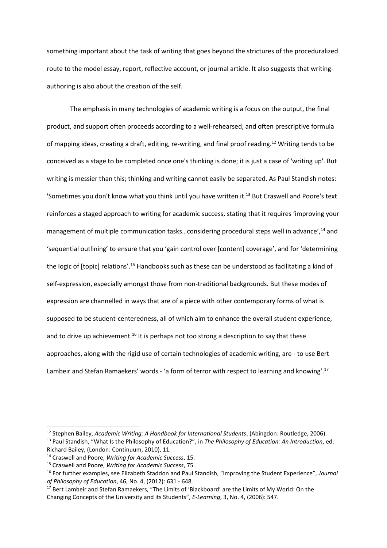something important about the task of writing that goes beyond the strictures of the proceduralized route to the model essay, report, reflective account, or journal article. It also suggests that writingauthoring is also about the creation of the self.

The emphasis in many technologies of academic writing is a focus on the output, the final product, and support often proceeds according to a well-rehearsed, and often prescriptive formula of mapping ideas, creating a draft, editing, re-writing, and final proof reading.<sup>12</sup> Writing tends to be conceived as a stage to be completed once one's thinking is done; it is just a case of 'writing up'. But writing is messier than this; thinking and writing cannot easily be separated. As Paul Standish notes: 'Sometimes you don't know what you think until you have written it.<sup>13</sup> But Craswell and Poore's text reinforces a staged approach to writing for academic success, stating that it requires 'improving your management of multiple communication tasks...considering procedural steps well in advance',<sup>14</sup> and 'sequential outlining' to ensure that you 'gain control over [content] coverage', and for 'determining the logic of [topic] relations'.<sup>15</sup> Handbooks such as these can be understood as facilitating a kind of self-expression, especially amongst those from non-traditional backgrounds. But these modes of expression are channelled in ways that are of a piece with other contemporary forms of what is supposed to be student-centeredness, all of which aim to enhance the overall student experience, and to drive up achievement.<sup>16</sup> It is perhaps not too strong a description to say that these approaches, along with the rigid use of certain technologies of academic writing, are - to use Bert Lambeir and Stefan Ramaekers' words - 'a form of terror with respect to learning and knowing'.<sup>17</sup>

<sup>12</sup> Stephen Bailey, *Academic Writing: A Handbook for International Students*, (Abingdon: Routledge, 2006). <sup>13</sup> Paul Standish, "What Is the Philosophy of Education?", in *The Philosophy of Education: An Introduction*, ed. Richard Bailey, (London: Continuum, 2010), 11.

<sup>14</sup> Craswell and Poore, *Writing for Academic Success*, 15.

<sup>15</sup> Craswell and Poore, *Writing for Academic Success*, 75.

<sup>16</sup> For further examples, see Elizabeth Staddon and Paul Standish, "Improving the Student Experience", *Journal of Philosophy of Education*, 46, No. 4, (2012): 631 - 648.

<sup>&</sup>lt;sup>17</sup> Bert Lambeir and Stefan Ramaekers, "The Limits of 'Blackboard' are the Limits of My World: On the Changing Concepts of the University and its Students", *E-Learning*, 3, No. 4, (2006): 547.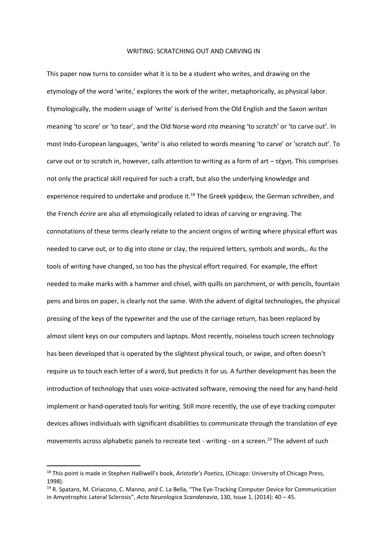### WRITING: SCRATCHING OUT AND CARVING IN

This paper now turns to consider what it is to be a student who writes, and drawing on the etymology of the word 'write,' explores the work of the writer, metaphorically, as physical labor. Etymologically, the modern usage of 'write' is derived from the Old English and the Saxon *writan* meaning 'to score' or 'to tear', and the Old Norse word *rita* meaning 'to scratch' or 'to carve out'. In most Indo-European languages, 'write' is also related to words meaning 'to carve' or 'scratch out'. To carve out or to scratch in, however, calls attention to writing as a form of art – τέχνη. This comprises not only the practical skill required for such a craft, but also the underlying knowledge and experience required to undertake and produce it.<sup>18</sup> The Greek γράφειν, the German *schreiben*, and the French *écrire* are also all etymologically related to ideas of carving or engraving. The connotations of these terms clearly relate to the ancient origins of writing where physical effort was needed to carve out, or to dig into stone or clay, the required letters, symbols and words,. As the tools of writing have changed, so too has the physical effort required. For example, the effort needed to make marks with a hammer and chisel, with quills on parchment, or with pencils, fountain pens and biros on paper, is clearly not the same. With the advent of digital technologies, the physical pressing of the keys of the typewriter and the use of the carriage return, has been replaced by almost silent keys on our computers and laptops. Most recently, noiseless touch screen technology has been developed that is operated by the slightest physical touch, or swipe, and often doesn't require us to touch each letter of a word, but predicts it for us. A further development has been the introduction of technology that uses voice-activated software, removing the need for any hand-held implement or hand-operated tools for writing. Still more recently, the use of eye tracking computer devices allows individuals with significant disabilities to communicate through the translation of eye movements across alphabetic panels to recreate text - writing - on a screen.<sup>19</sup> The advent of such

<sup>18</sup> This point is made in Stephen Halliwell's book, *Aristotle's Poetics*, (Chicago: University of Chicago Press, 1998).

<sup>19</sup> R. Spataro, M. Ciriacono, C. Manno, and C. La Bella, "The Eye-Tracking Computer Device for Communication in Amyotrophic Lateral Sclerosis", *Acta Neurologica Scandanavia*, 130, Issue 1, (2014): 40 – 45.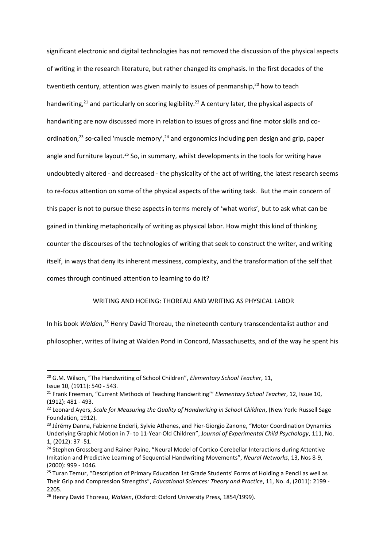significant electronic and digital technologies has not removed the discussion of the physical aspects of writing in the research literature, but rather changed its emphasis. In the first decades of the twentieth century, attention was given mainly to issues of penmanship, $20$  how to teach handwriting,<sup>21</sup> and particularly on scoring legibility.<sup>22</sup> A century later, the physical aspects of handwriting are now discussed more in relation to issues of gross and fine motor skills and coordination,<sup>23</sup> so-called 'muscle memory',<sup>24</sup> and ergonomics including pen design and grip, paper angle and furniture layout.<sup>25</sup> So, in summary, whilst developments in the tools for writing have undoubtedly altered - and decreased - the physicality of the act of writing, the latest research seems to re-focus attention on some of the physical aspects of the writing task. But the main concern of this paper is not to pursue these aspects in terms merely of 'what works', but to ask what can be gained in thinking metaphorically of writing as physical labor. How might this kind of thinking counter the discourses of the technologies of writing that seek to construct the writer, and writing itself, in ways that deny its inherent messiness, complexity, and the transformation of the self that comes through continued attention to learning to do it?

## WRITING AND HOEING: THOREAU AND WRITING AS PHYSICAL LABOR

In his book Walden,<sup>26</sup> Henry David Thoreau, the nineteenth century transcendentalist author and philosopher, writes of living at Walden Pond in Concord, Massachusetts, and of the way he spent his

1

<sup>20</sup> G.M. Wilson, "The Handwriting of School Children", *Elementary School Teacher*, 11, Issue 10, (1911): 540 - 543.

<sup>21</sup> Frank Freeman, "Current Methods of Teaching Handwriting'" *Elementary School Teacher*, 12, Issue 10, (1912): 481 - 493.

<sup>22</sup> Leonard Ayers, *Scale for Measuring the Quality of Handwriting in School Children*, (New York: Russell Sage Foundation, 1912).

<sup>&</sup>lt;sup>23</sup> Jérémy Danna, Fabienne Enderli, Sylvie Athenes, and Pier-Giorgio Zanone, "Motor Coordination Dynamics Underlying Graphic Motion in 7- to 11-Year-Old Children", J*ournal of Experimental Child Psychology*, 111, No. 1, (2012): 37 -51.

<sup>&</sup>lt;sup>24</sup> Stephen Grossberg and Rainer Paine, "Neural Model of Cortico-Cerebellar Interactions during Attentive Imitation and Predictive Learning of Sequential Handwriting Movements", *Neural Networks*, 13, Nos 8-9, (2000): 999 - 1046.

<sup>&</sup>lt;sup>25</sup> Turan Temur, "Description of Primary Education 1st Grade Students' Forms of Holding a Pencil as well as Their Grip and Compression Strengths", *Educational Sciences: Theory and Practice*, 11, No. 4, (2011): 2199 - 2205.

<sup>26</sup> Henry David Thoreau, *Walden*, (Oxford: Oxford University Press, 1854/1999).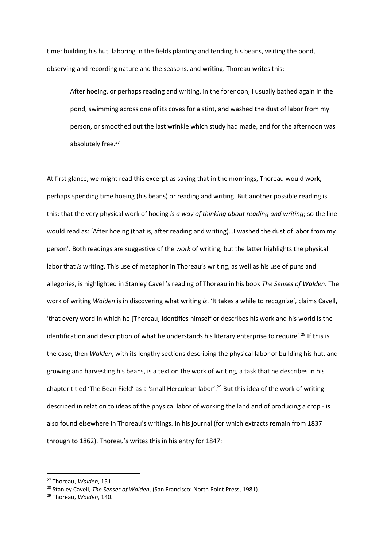time: building his hut, laboring in the fields planting and tending his beans, visiting the pond, observing and recording nature and the seasons, and writing. Thoreau writes this:

After hoeing, or perhaps reading and writing, in the forenoon, I usually bathed again in the pond, swimming across one of its coves for a stint, and washed the dust of labor from my person, or smoothed out the last wrinkle which study had made, and for the afternoon was absolutely free.<sup>27</sup>

At first glance, we might read this excerpt as saying that in the mornings, Thoreau would work, perhaps spending time hoeing (his beans) or reading and writing. But another possible reading is this: that the very physical work of hoeing *is a way of thinking about reading and writing*; so the line would read as: 'After hoeing (that is, after reading and writing)…I washed the dust of labor from my person'. Both readings are suggestive of the *work* of writing, but the latter highlights the physical labor that *is* writing. This use of metaphor in Thoreau's writing, as well as his use of puns and allegories, is highlighted in Stanley Cavell's reading of Thoreau in his book *The Senses of Walden*. The work of writing *Walden* is in discovering what writing *is*. 'It takes a while to recognize', claims Cavell, 'that every word in which he [Thoreau] identifies himself or describes his work and his world is the identification and description of what he understands his literary enterprise to require'.<sup>28</sup> If this is the case, then *Walden*, with its lengthy sections describing the physical labor of building his hut, and growing and harvesting his beans, is a text on the work of writing, a task that he describes in his chapter titled 'The Bean Field' as a 'small Herculean labor'.<sup>29</sup> But this idea of the work of writing described in relation to ideas of the physical labor of working the land and of producing a crop - is also found elsewhere in Thoreau's writings. In his journal (for which extracts remain from 1837 through to 1862), Thoreau's writes this in his entry for 1847:

<sup>27</sup> Thoreau, *Walden*, 151.

<sup>28</sup> Stanley Cavell, *The Senses of Walden*, (San Francisco: North Point Press, 1981).

<sup>29</sup> Thoreau, *Walden*, 140.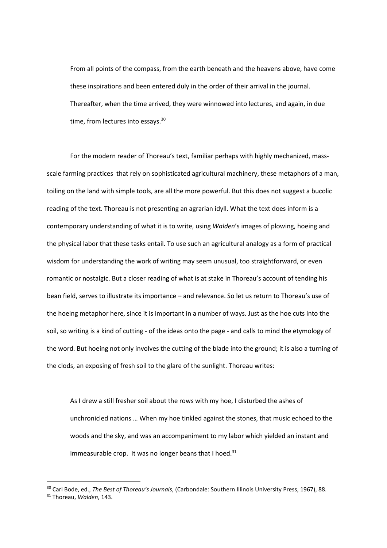From all points of the compass, from the earth beneath and the heavens above, have come these inspirations and been entered duly in the order of their arrival in the journal. Thereafter, when the time arrived, they were winnowed into lectures, and again, in due time, from lectures into essays.<sup>30</sup>

For the modern reader of Thoreau's text, familiar perhaps with highly mechanized, massscale farming practices that rely on sophisticated agricultural machinery, these metaphors of a man, toiling on the land with simple tools, are all the more powerful. But this does not suggest a bucolic reading of the text. Thoreau is not presenting an agrarian idyll. What the text does inform is a contemporary understanding of what it is to write, using *Walden*'s images of plowing, hoeing and the physical labor that these tasks entail. To use such an agricultural analogy as a form of practical wisdom for understanding the work of writing may seem unusual, too straightforward, or even romantic or nostalgic. But a closer reading of what is at stake in Thoreau's account of tending his bean field, serves to illustrate its importance – and relevance. So let us return to Thoreau's use of the hoeing metaphor here, since it is important in a number of ways. Just as the hoe cuts into the soil, so writing is a kind of cutting - of the ideas onto the page - and calls to mind the etymology of the word. But hoeing not only involves the cutting of the blade into the ground; it is also a turning of the clods, an exposing of fresh soil to the glare of the sunlight. Thoreau writes:

As I drew a still fresher soil about the rows with my hoe, I disturbed the ashes of unchronicled nations … When my hoe tinkled against the stones, that music echoed to the woods and the sky, and was an accompaniment to my labor which yielded an instant and immeasurable crop. It was no longer beans that I hoed. $31$ 

<sup>30</sup> Carl Bode, ed., *The Best of Thoreau's Journals*, (Carbondale: Southern Illinois University Press, 1967), 88. <sup>31</sup> Thoreau, *Walden*, 143.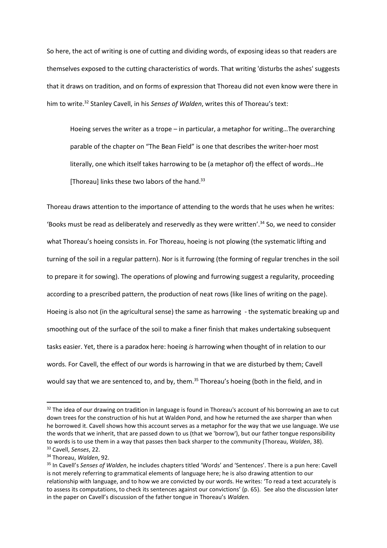So here, the act of writing is one of cutting and dividing words, of exposing ideas so that readers are themselves exposed to the cutting characteristics of words. That writing 'disturbs the ashes' suggests that it draws on tradition, and on forms of expression that Thoreau did not even know were there in him to write.<sup>32</sup> Stanley Cavell, in his *Senses of Walden*, writes this of Thoreau's text:

Hoeing serves the writer as a trope – in particular, a metaphor for writing…The overarching parable of the chapter on "The Bean Field" is one that describes the writer-hoer most literally, one which itself takes harrowing to be (a metaphor of) the effect of words…He [Thoreau] links these two labors of the hand.<sup>33</sup>

Thoreau draws attention to the importance of attending to the words that he uses when he writes: 'Books must be read as deliberately and reservedly as they were written'.<sup>34</sup> So, we need to consider what Thoreau's hoeing consists in. For Thoreau, hoeing is not plowing (the systematic lifting and turning of the soil in a regular pattern). Nor is it furrowing (the forming of regular trenches in the soil to prepare it for sowing). The operations of plowing and furrowing suggest a regularity, proceeding according to a prescribed pattern, the production of neat rows (like lines of writing on the page). Hoeing is also not (in the agricultural sense) the same as harrowing - the systematic breaking up and smoothing out of the surface of the soil to make a finer finish that makes undertaking subsequent tasks easier. Yet, there is a paradox here: hoeing *is* harrowing when thought of in relation to our words. For Cavell, the effect of our words is harrowing in that we are disturbed by them; Cavell would say that we are sentenced to, and by, them.<sup>35</sup> Thoreau's hoeing (both in the field, and in

 $\overline{a}$ 

<sup>&</sup>lt;sup>32</sup> The idea of our drawing on tradition in language is found in Thoreau's account of his borrowing an axe to cut down trees for the construction of his hut at Walden Pond, and how he returned the axe sharper than when he borrowed it. Cavell shows how this account serves as a metaphor for the way that we use language. We use the words that we inherit, that are passed down to us (that we 'borrow'), but our father tongue responsibility to words is to use them in a way that passes then back sharper to the community (Thoreau, *Walden*, 38). <sup>33</sup> Cavell, *Senses*, 22.

<sup>34</sup> Thoreau, *Walden*, 92.

<sup>35</sup> In Cavell's *Senses of Walden*, he includes chapters titled 'Words' and 'Sentences'. There is a pun here: Cavell is not merely referring to grammatical elements of language here; he is also drawing attention to our relationship with language, and to how we are convicted by our words. He writes: 'To read a text accurately is to assess its computations, to check its sentences against our convictions' (p. 65). See also the discussion later in the paper on Cavell's discussion of the father tongue in Thoreau's *Walden.*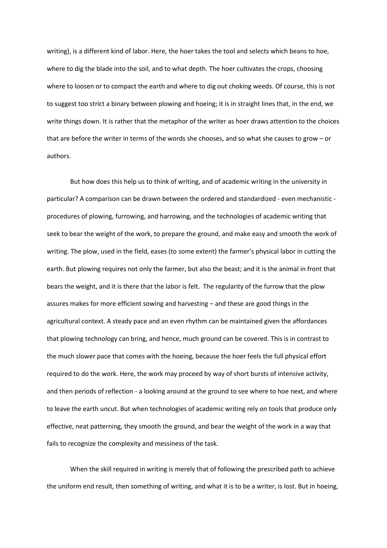writing), is a different kind of labor. Here, the hoer takes the tool and selects which beans to hoe, where to dig the blade into the soil, and to what depth. The hoer cultivates the crops, choosing where to loosen or to compact the earth and where to dig out choking weeds. Of course, this is not to suggest too strict a binary between plowing and hoeing; it is in straight lines that, in the end, we write things down. It is rather that the metaphor of the writer as hoer draws attention to the choices that are before the writer in terms of the words she chooses, and so what she causes to grow – or authors.

But how does this help us to think of writing, and of academic writing in the university in particular? A comparison can be drawn between the ordered and standardized - even mechanistic procedures of plowing, furrowing, and harrowing, and the technologies of academic writing that seek to bear the weight of the work, to prepare the ground, and make easy and smooth the work of writing. The plow, used in the field, eases (to some extent) the farmer's physical labor in cutting the earth. But plowing requires not only the farmer, but also the beast; and it is the animal in front that bears the weight, and it is there that the labor is felt. The regularity of the furrow that the plow assures makes for more efficient sowing and harvesting – and these are good things in the agricultural context. A steady pace and an even rhythm can be maintained given the affordances that plowing technology can bring, and hence, much ground can be covered. This is in contrast to the much slower pace that comes with the hoeing, because the hoer feels the full physical effort required to do the work. Here, the work may proceed by way of short bursts of intensive activity, and then periods of reflection - a looking around at the ground to see where to hoe next, and where to leave the earth uncut. But when technologies of academic writing rely on tools that produce only effective, neat patterning, they smooth the ground, and bear the weight of the work in a way that fails to recognize the complexity and messiness of the task.

When the skill required in writing is merely that of following the prescribed path to achieve the uniform end result, then something of writing, and what it is to be a writer, is lost. But in hoeing,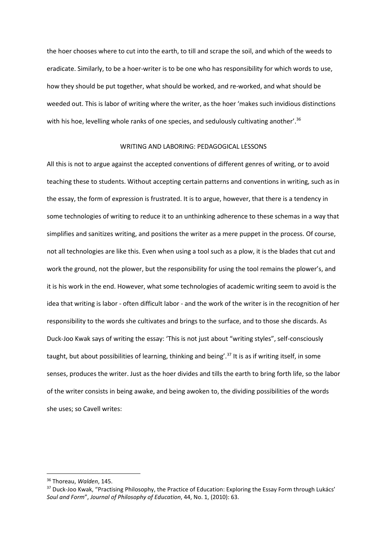the hoer chooses where to cut into the earth, to till and scrape the soil, and which of the weeds to eradicate. Similarly, to be a hoer-writer is to be one who has responsibility for which words to use, how they should be put together, what should be worked, and re-worked, and what should be weeded out. This is labor of writing where the writer, as the hoer 'makes such invidious distinctions with his hoe, levelling whole ranks of one species, and sedulously cultivating another'.<sup>36</sup>

# WRITING AND LABORING: PEDAGOGICAL LESSONS

All this is not to argue against the accepted conventions of different genres of writing, or to avoid teaching these to students. Without accepting certain patterns and conventions in writing, such as in the essay, the form of expression is frustrated. It is to argue, however, that there is a tendency in some technologies of writing to reduce it to an unthinking adherence to these schemas in a way that simplifies and sanitizes writing, and positions the writer as a mere puppet in the process. Of course, not all technologies are like this. Even when using a tool such as a plow, it is the blades that cut and work the ground, not the plower, but the responsibility for using the tool remains the plower's, and it is his work in the end. However, what some technologies of academic writing seem to avoid is the idea that writing is labor - often difficult labor - and the work of the writer is in the recognition of her responsibility to the words she cultivates and brings to the surface, and to those she discards. As Duck-Joo Kwak says of writing the essay: 'This is not just about "writing styles", self-consciously taught, but about possibilities of learning, thinking and being'.<sup>37</sup> It is as if writing itself, in some senses, produces the writer. Just as the hoer divides and tills the earth to bring forth life, so the labor of the writer consists in being awake, and being awoken to, the dividing possibilities of the words she uses; so Cavell writes:

<sup>36</sup> Thoreau, *Walden*, 145.

<sup>&</sup>lt;sup>37</sup> Duck-Joo Kwak, "Practising Philosophy, the Practice of Education: Exploring the Essay Form through Lukács' *Soul and Form*", *Journal of Philosophy of Education*, 44, No. 1, (2010): 63.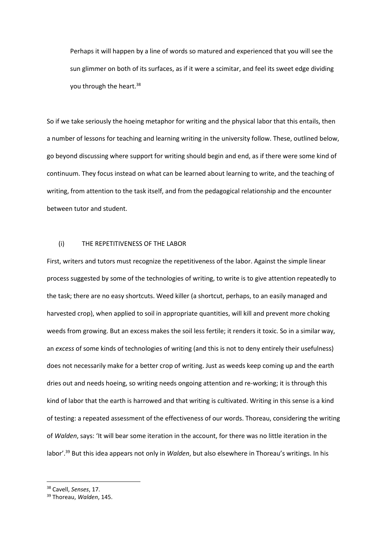Perhaps it will happen by a line of words so matured and experienced that you will see the sun glimmer on both of its surfaces, as if it were a scimitar, and feel its sweet edge dividing you through the heart.<sup>38</sup>

So if we take seriously the hoeing metaphor for writing and the physical labor that this entails, then a number of lessons for teaching and learning writing in the university follow. These, outlined below, go beyond discussing where support for writing should begin and end, as if there were some kind of continuum. They focus instead on what can be learned about learning to write, and the teaching of writing, from attention to the task itself, and from the pedagogical relationship and the encounter between tutor and student.

# (i) THE REPETITIVENESS OF THE LABOR

First, writers and tutors must recognize the repetitiveness of the labor. Against the simple linear process suggested by some of the technologies of writing, to write is to give attention repeatedly to the task; there are no easy shortcuts. Weed killer (a shortcut, perhaps, to an easily managed and harvested crop), when applied to soil in appropriate quantities, will kill and prevent more choking weeds from growing. But an excess makes the soil less fertile; it renders it toxic. So in a similar way, an *excess* of some kinds of technologies of writing (and this is not to deny entirely their usefulness) does not necessarily make for a better crop of writing. Just as weeds keep coming up and the earth dries out and needs hoeing, so writing needs ongoing attention and re-working; it is through this kind of labor that the earth is harrowed and that writing is cultivated. Writing in this sense is a kind of testing: a repeated assessment of the effectiveness of our words. Thoreau, considering the writing of *Walden*, says: 'It will bear some iteration in the account, for there was no little iteration in the labor'.<sup>39</sup> But this idea appears not only in *Walden*, but also elsewhere in Thoreau's writings. In his

<sup>38</sup> Cavell, *Senses*, 17.

<sup>39</sup> Thoreau, *Walden*, 145.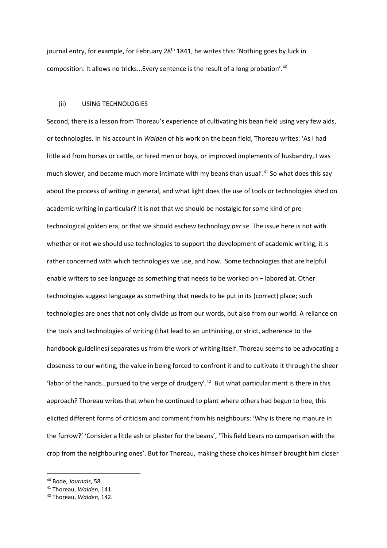journal entry, for example, for February 28<sup>th</sup> 1841, he writes this: 'Nothing goes by luck in composition. It allows no tricks...Every sentence is the result of a long probation'.<sup>40</sup>

## (ii) USING TECHNOLOGIES

Second, there is a lesson from Thoreau's experience of cultivating his bean field using very few aids, or technologies. In his account in *Walden* of his work on the bean field, Thoreau writes: 'As I had little aid from horses or cattle, or hired men or boys, or improved implements of husbandry, I was much slower, and became much more intimate with my beans than usual'.<sup>41</sup> So what does this say about the process of writing in general, and what light does the use of tools or technologies shed on academic writing in particular? It is not that we should be nostalgic for some kind of pretechnological golden era, or that we should eschew technology *per se*. The issue here is not with whether or not we should use technologies to support the development of academic writing; it is rather concerned with which technologies we use, and how. Some technologies that are helpful enable writers to see language as something that needs to be worked on – labored at. Other technologies suggest language as something that needs to be put in its (correct) place; such technologies are ones that not only divide us from our words, but also from our world. A reliance on the tools and technologies of writing (that lead to an unthinking, or strict, adherence to the handbook guidelines) separates us from the work of writing itself. Thoreau seems to be advocating a closeness to our writing, the value in being forced to confront it and to cultivate it through the sheer 'labor of the hands... pursued to the verge of drudgery'.<sup>42</sup> But what particular merit is there in this approach? Thoreau writes that when he continued to plant where others had begun to hoe, this elicited different forms of criticism and comment from his neighbours: 'Why is there no manure in the furrow?' 'Consider a little ash or plaster for the beans', 'This field bears no comparison with the crop from the neighbouring ones'. But for Thoreau, making these choices himself brought him closer

<sup>40</sup> Bode, *Journals*, 58.

<sup>41</sup> Thoreau, *Walden*, 141.

<sup>42</sup> Thoreau, *Walden*, 142.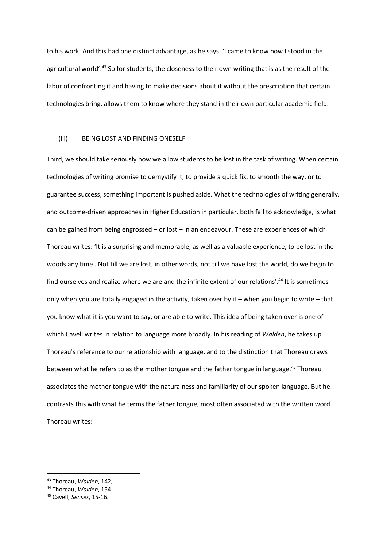to his work. And this had one distinct advantage, as he says: 'I came to know how I stood in the agricultural world'.<sup>43</sup> So for students, the closeness to their own writing that is as the result of the labor of confronting it and having to make decisions about it without the prescription that certain technologies bring, allows them to know where they stand in their own particular academic field.

# (iii) BEING LOST AND FINDING ONESELF

Third, we should take seriously how we allow students to be lost in the task of writing. When certain technologies of writing promise to demystify it, to provide a quick fix, to smooth the way, or to guarantee success, something important is pushed aside. What the technologies of writing generally, and outcome-driven approaches in Higher Education in particular, both fail to acknowledge, is what can be gained from being engrossed – or lost – in an endeavour. These are experiences of which Thoreau writes: 'It is a surprising and memorable, as well as a valuable experience, to be lost in the woods any time…Not till we are lost, in other words, not till we have lost the world, do we begin to find ourselves and realize where we are and the infinite extent of our relations'.<sup>44</sup> It is sometimes only when you are totally engaged in the activity, taken over by it – when you begin to write – that you know what it is you want to say, or are able to write. This idea of being taken over is one of which Cavell writes in relation to language more broadly. In his reading of *Walden*, he takes up Thoreau's reference to our relationship with language, and to the distinction that Thoreau draws between what he refers to as the mother tongue and the father tongue in language.<sup>45</sup> Thoreau associates the mother tongue with the naturalness and familiarity of our spoken language. But he contrasts this with what he terms the father tongue, most often associated with the written word. Thoreau writes:

<sup>43</sup> Thoreau, *Walden*, 142,

<sup>44</sup> Thoreau, *Walden*, 154.

<sup>45</sup> Cavell, *Senses*, 15-16.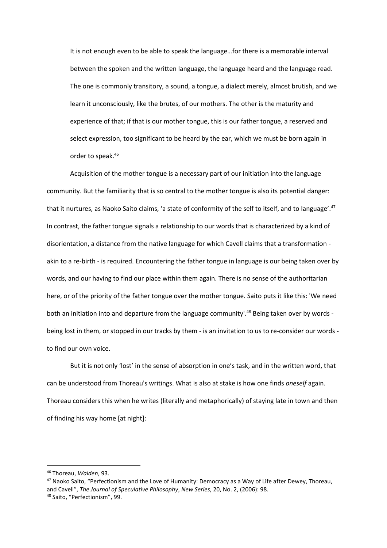It is not enough even to be able to speak the language…for there is a memorable interval between the spoken and the written language, the language heard and the language read. The one is commonly transitory, a sound, a tongue, a dialect merely, almost brutish, and we learn it unconsciously, like the brutes, of our mothers. The other is the maturity and experience of that; if that is our mother tongue, this is our father tongue, a reserved and select expression, too significant to be heard by the ear, which we must be born again in order to speak.<sup>46</sup>

Acquisition of the mother tongue is a necessary part of our initiation into the language community. But the familiarity that is so central to the mother tongue is also its potential danger: that it nurtures, as Naoko Saito claims, 'a state of conformity of the self to itself, and to language'.<sup>47</sup> In contrast, the father tongue signals a relationship to our words that is characterized by a kind of disorientation, a distance from the native language for which Cavell claims that a transformation akin to a re-birth - is required. Encountering the father tongue in language is our being taken over by words, and our having to find our place within them again. There is no sense of the authoritarian here, or of the priority of the father tongue over the mother tongue. Saito puts it like this: 'We need both an initiation into and departure from the language community'.<sup>48</sup> Being taken over by words being lost in them, or stopped in our tracks by them - is an invitation to us to re-consider our words to find our own voice.

But it is not only 'lost' in the sense of absorption in one's task, and in the written word, that can be understood from Thoreau's writings. What is also at stake is how one finds *oneself* again. Thoreau considers this when he writes (literally and metaphorically) of staying late in town and then of finding his way home [at night]:

<sup>46</sup> Thoreau, *Walden*, 93.

<sup>47</sup> Naoko Saito, "Perfectionism and the Love of Humanity: Democracy as a Way of Life after Dewey, Thoreau, and Cavell", *The Journal of Speculative Philosophy*, *New Series*, 20, No. 2, (2006): 98. <sup>48</sup> Saito, "Perfectionism", 99.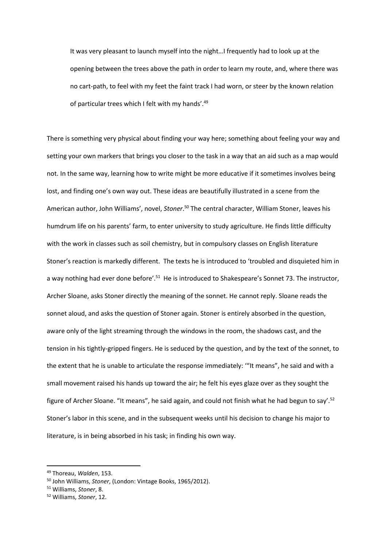It was very pleasant to launch myself into the night…I frequently had to look up at the opening between the trees above the path in order to learn my route, and, where there was no cart-path, to feel with my feet the faint track I had worn, or steer by the known relation of particular trees which I felt with my hands'.<sup>49</sup>

There is something very physical about finding your way here; something about feeling your way and setting your own markers that brings you closer to the task in a way that an aid such as a map would not. In the same way, learning how to write might be more educative if it sometimes involves being lost, and finding one's own way out. These ideas are beautifully illustrated in a scene from the American author, John Williams', novel, *Stoner*. <sup>50</sup> The central character, William Stoner, leaves his humdrum life on his parents' farm, to enter university to study agriculture. He finds little difficulty with the work in classes such as soil chemistry, but in compulsory classes on English literature Stoner's reaction is markedly different. The texts he is introduced to 'troubled and disquieted him in a way nothing had ever done before'.<sup>51</sup> He is introduced to Shakespeare's Sonnet 73. The instructor, Archer Sloane, asks Stoner directly the meaning of the sonnet. He cannot reply. Sloane reads the sonnet aloud, and asks the question of Stoner again. Stoner is entirely absorbed in the question, aware only of the light streaming through the windows in the room, the shadows cast, and the tension in his tightly-gripped fingers. He is seduced by the question, and by the text of the sonnet, to the extent that he is unable to articulate the response immediately: '"It means", he said and with a small movement raised his hands up toward the air; he felt his eyes glaze over as they sought the figure of Archer Sloane. "It means", he said again, and could not finish what he had begun to say'.<sup>52</sup> Stoner's labor in this scene, and in the subsequent weeks until his decision to change his major to literature, is in being absorbed in his task; in finding his own way.

<sup>49</sup> Thoreau, *Walden*, 153.

<sup>50</sup> John Williams, *Stoner*, (London: Vintage Books, 1965/2012).

<sup>51</sup> Williams, *Stoner*, 8.

<sup>52</sup> Williams, *Stoner*, 12.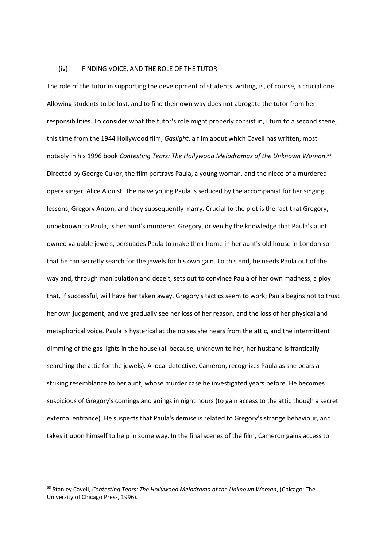### (iv) FINDING VOICE, AND THE ROLE OF THE TUTOR

The role of the tutor in supporting the development of students' writing, is, of course, a crucial one. Allowing students to be lost, and to find their own way does not abrogate the tutor from her responsibilities. To consider what the tutor's role might properly consist in, I turn to a second scene, this time from the 1944 Hollywood film, *Gaslight*, a film about which Cavell has written, most notably in his 1996 book *Contesting Tears: The Hollywood Melodramas of the Unknown Woman*. 53 Directed by George Cukor, the film portrays Paula, a young woman, and the niece of a murdered opera singer, Alice Alquist. The naive young Paula is seduced by the accompanist for her singing lessons, Gregory Anton, and they subsequently marry. Crucial to the plot is the fact that Gregory, unbeknown to Paula, is her aunt's murderer. Gregory, driven by the knowledge that Paula's aunt owned valuable jewels, persuades Paula to make their home in her aunt's old house in London so that he can secretly search for the jewels for his own gain. To this end, he needs Paula out of the way and, through manipulation and deceit, sets out to convince Paula of her own madness, a ploy that, if successful, will have her taken away. Gregory's tactics seem to work; Paula begins not to trust her own judgement, and we gradually see her loss of her reason, and the loss of her physical and metaphorical voice. Paula is hysterical at the noises she hears from the attic, and the intermittent dimming of the gas lights in the house (all because, unknown to her, her husband is frantically searching the attic for the jewels). A local detective, Cameron, recognizes Paula as she bears a striking resemblance to her aunt, whose murder case he investigated years before. He becomes suspicious of Gregory's comings and goings in night hours (to gain access to the attic though a secret external entrance). He suspects that Paula's demise is related to Gregory's strange behaviour, and takes it upon himself to help in some way. In the final scenes of the film, Cameron gains access to

<sup>53</sup> Stanley Cavell, *Contesting Tears: The Hollywood Melodrama of the Unknown Woman*, (Chicago: The University of Chicago Press, 1996).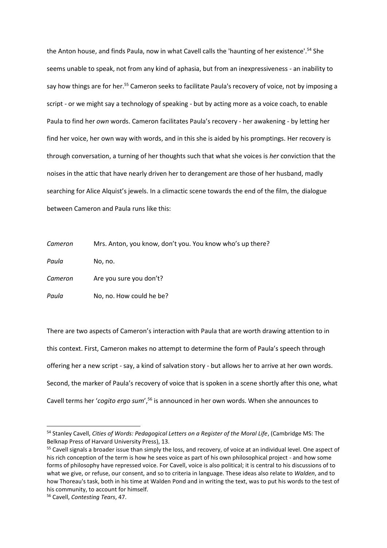the Anton house, and finds Paula, now in what Cavell calls the 'haunting of her existence'.<sup>54</sup> She seems unable to speak, not from any kind of aphasia, but from an inexpressiveness - an inability to say how things are for her.<sup>55</sup> Cameron seeks to facilitate Paula's recovery of voice, not by imposing a script - or we might say a technology of speaking - but by acting more as a voice coach, to enable Paula to find her *own* words. Cameron facilitates Paula's recovery - her awakening - by letting her find her voice, her own way with words, and in this she is aided by his promptings. Her recovery is through conversation, a turning of her thoughts such that what she voices is *her* conviction that the noises in the attic that have nearly driven her to derangement are those of her husband, madly searching for Alice Alquist's jewels. In a climactic scene towards the end of the film, the dialogue between Cameron and Paula runs like this:

*Cameron* Mrs. Anton, you know, don't you. You know who's up there?

*Paula* No, no.

*Cameron* Are you sure you don't?

*Paula* No. no. How could he be?

There are two aspects of Cameron's interaction with Paula that are worth drawing attention to in this context. First, Cameron makes no attempt to determine the form of Paula's speech through offering her a new script - say, a kind of salvation story - but allows her to arrive at her own words. Second, the marker of Paula's recovery of voice that is spoken in a scene shortly after this one, what Cavell terms her '*cogito ergo sum*',<sup>56</sup> is announced in her own words. When she announces to

<sup>54</sup> Stanley Cavell, *Cities of Words: Pedagogical Letters on a Register of the Moral Life*, (Cambridge MS: The Belknap Press of Harvard University Press), 13.

<sup>&</sup>lt;sup>55</sup> Cavell signals a broader issue than simply the loss, and recovery, of voice at an individual level. One aspect of his rich conception of the term is how he sees voice as part of his own philosophical project - and how some forms of philosophy have repressed voice. For Cavell, voice is also political; it is central to his discussions of to what we give, or refuse, our consent, and so to criteria in language. These ideas also relate to *Walden*, and to how Thoreau's task, both in his time at Walden Pond and in writing the text, was to put his words to the test of his community, to account for himself.

<sup>56</sup> Cavell, *Contesting Tears*, 47.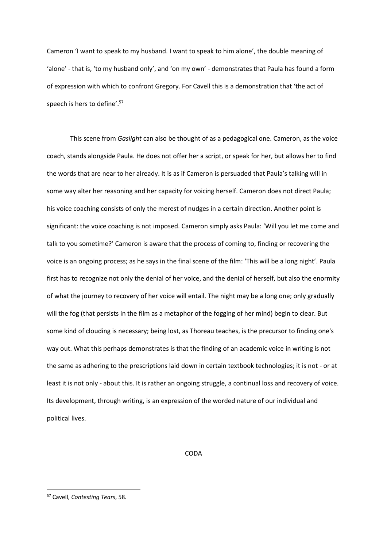Cameron 'I want to speak to my husband. I want to speak to him alone', the double meaning of 'alone' - that is, 'to my husband only', and 'on my own' - demonstrates that Paula has found a form of expression with which to confront Gregory. For Cavell this is a demonstration that 'the act of speech is hers to define'.<sup>57</sup>

This scene from *Gaslight* can also be thought of as a pedagogical one. Cameron, as the voice coach, stands alongside Paula. He does not offer her a script, or speak for her, but allows her to find the words that are near to her already. It is as if Cameron is persuaded that Paula's talking will in some way alter her reasoning and her capacity for voicing herself. Cameron does not direct Paula; his voice coaching consists of only the merest of nudges in a certain direction. Another point is significant: the voice coaching is not imposed. Cameron simply asks Paula: 'Will you let me come and talk to you sometime?' Cameron is aware that the process of coming to, finding or recovering the voice is an ongoing process; as he says in the final scene of the film: 'This will be a long night'. Paula first has to recognize not only the denial of her voice, and the denial of herself, but also the enormity of what the journey to recovery of her voice will entail. The night may be a long one; only gradually will the fog (that persists in the film as a metaphor of the fogging of her mind) begin to clear. But some kind of clouding is necessary; being lost, as Thoreau teaches, is the precursor to finding one's way out. What this perhaps demonstrates is that the finding of an academic voice in writing is not the same as adhering to the prescriptions laid down in certain textbook technologies; it is not - or at least it is not only - about this. It is rather an ongoing struggle, a continual loss and recovery of voice. Its development, through writing, is an expression of the worded nature of our individual and political lives.

CODA

<sup>57</sup> Cavell, *Contesting Tears*, 58.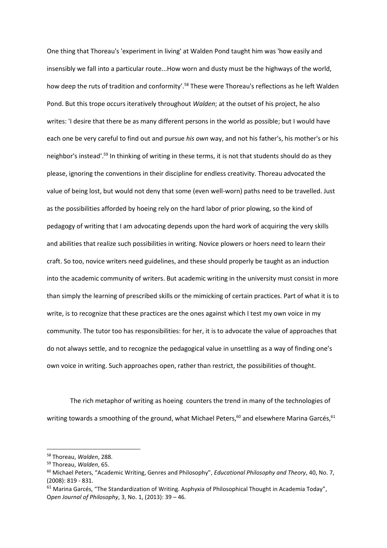One thing that Thoreau's 'experiment in living' at Walden Pond taught him was 'how easily and insensibly we fall into a particular route...How worn and dusty must be the highways of the world, how deep the ruts of tradition and conformity'.<sup>58</sup> These were Thoreau's reflections as he left Walden Pond. But this trope occurs iteratively throughout *Walden*; at the outset of his project, he also writes: 'I desire that there be as many different persons in the world as possible; but I would have each one be very careful to find out and pursue *his own* way, and not his father's, his mother's or his neighbor's instead'.<sup>59</sup> In thinking of writing in these terms, it is not that students should do as they please, ignoring the conventions in their discipline for endless creativity. Thoreau advocated the value of being lost, but would not deny that some (even well-worn) paths need to be travelled. Just as the possibilities afforded by hoeing rely on the hard labor of prior plowing, so the kind of pedagogy of writing that I am advocating depends upon the hard work of acquiring the very skills and abilities that realize such possibilities in writing. Novice plowers or hoers need to learn their craft. So too, novice writers need guidelines, and these should properly be taught as an induction into the academic community of writers. But academic writing in the university must consist in more than simply the learning of prescribed skills or the mimicking of certain practices. Part of what it is to write, is to recognize that these practices are the ones against which I test my own voice in my community. The tutor too has responsibilities: for her, it is to advocate the value of approaches that do not always settle, and to recognize the pedagogical value in unsettling as a way of finding one's own voice in writing. Such approaches open, rather than restrict, the possibilities of thought.

The rich metaphor of writing as hoeing counters the trend in many of the technologies of writing towards a smoothing of the ground, what Michael Peters,<sup>60</sup> and elsewhere Marina Garcés,<sup>61</sup>

<sup>58</sup> Thoreau, *Walden*, 288.

<sup>59</sup> Thoreau, *Walden*, 65.

<sup>60</sup> Michael Peters, "Academic Writing, Genres and Philosophy", *Educational Philosophy and Theory*, 40, No. 7, (2008): 819 - 831.

<sup>&</sup>lt;sup>61</sup> Marina Garcés, "The Standardization of Writing. Asphyxia of Philosophical Thought in Academia Today", O*pen Journal of Philosophy*, 3, No. 1, (2013): 39 – 46.